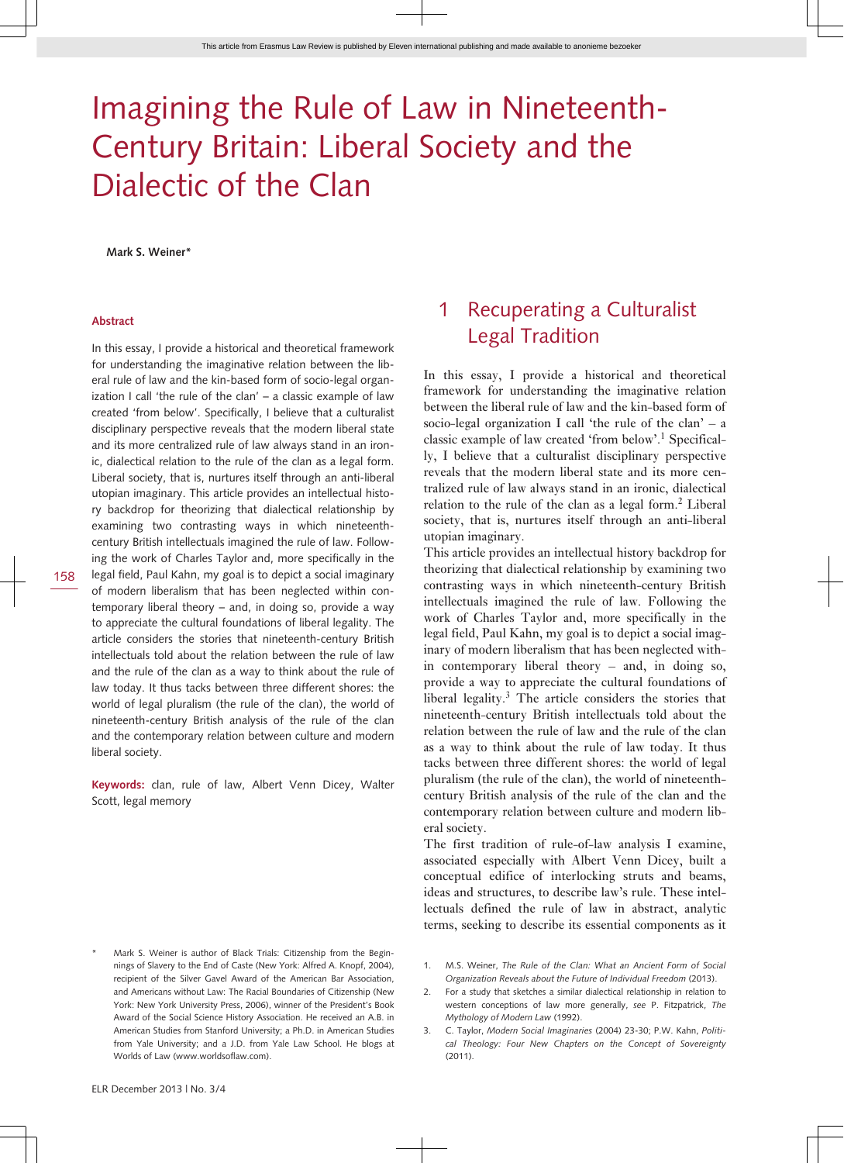# Imagining the Rule of Law in Nineteenth-Century Britain: Liberal Society and the Dialectic of the Clan

**Mark S. Weiner\***

#### **Abstract**

In this essay, I provide a historical and theoretical framework for understanding the imaginative relation between the liberal rule of law and the kin-based form of socio-legal organization I call 'the rule of the clan' – a classic example of law created 'from below'. Specifically, I believe that a culturalist disciplinary perspective reveals that the modern liberal state and its more centralized rule of law always stand in an ironic, dialectical relation to the rule of the clan as a legal form. Liberal society, that is, nurtures itself through an anti-liberal utopian imaginary. This article provides an intellectual history backdrop for theorizing that dialectical relationship by examining two contrasting ways in which nineteenthcentury British intellectuals imagined the rule of law. Following the work of Charles Taylor and, more specifically in the legal field, Paul Kahn, my goal is to depict a social imaginary of modern liberalism that has been neglected within contemporary liberal theory – and, in doing so, provide a way to appreciate the cultural foundations of liberal legality. The article considers the stories that nineteenth-century British intellectuals told about the relation between the rule of law and the rule of the clan as a way to think about the rule of law today. It thus tacks between three different shores: the world of legal pluralism (the rule of the clan), the world of nineteenth-century British analysis of the rule of the clan and the contemporary relation between culture and modern

**Keywords:** clan, rule of law, Albert Venn Dicey, Walter Scott, legal memory

### 1 Recuperating a Culturalist Legal Tradition

In this essay, I provide a historical and theoretical framework for understanding the imaginative relation between the liberal rule of law and the kin-based form of socio-legal organization I call 'the rule of the clan'  $- a$ classic example of law created 'from below'.<sup>1</sup> Specifically, I believe that a culturalist disciplinary perspective reveals that the modern liberal state and its more centralized rule of law always stand in an ironic, dialectical relation to the rule of the clan as a legal form.<sup>2</sup> Liberal society, that is, nurtures itself through an anti-liberal utopian imaginary.

This article provides an intellectual history backdrop for theorizing that dialectical relationship by examining two contrasting ways in which nineteenth-century British intellectuals imagined the rule of law. Following the work of Charles Taylor and, more specifically in the legal field, Paul Kahn, my goal is to depict a social imaginary of modern liberalism that has been neglected within contemporary liberal theory – and, in doing so, provide a way to appreciate the cultural foundations of liberal legality.<sup>3</sup> The article considers the stories that nineteenth-century British intellectuals told about the relation between the rule of law and the rule of the clan as a way to think about the rule of law today. It thus tacks between three different shores: the world of legal pluralism (the rule of the clan), the world of nineteenthcentury British analysis of the rule of the clan and the contemporary relation between culture and modern liberal society.

The first tradition of rule-of-law analysis I examine, associated especially with Albert Venn Dicey, built a conceptual edifice of interlocking struts and beams, ideas and structures, to describe law's rule. These intellectuals defined the rule of law in abstract, analytic terms, seeking to describe its essential components as it

- Mark S. Weiner is author of Black Trials: Citizenship from the Beginnings of Slavery to the End of Caste (New York: Alfred A. Knopf, 2004), recipient of the Silver Gavel Award of the American Bar Association and Americans without Law: The Racial Boundaries of Citizenship (New York: New York University Press, 2006), winner of the President's Book Award of the Social Science History Association. He received an A.B. in American Studies from Stanford University; a Ph.D. in American Studies from Yale University; and a J.D. from Yale Law School. He blogs at Worlds of Law (www.worldsoflaw.com).
- 1. M.S. Weiner, *The Rule of the Clan: What an Ancient Form of Social Organization Reveals about the Future of Individual Freedom* (2013).
- 2. For a study that sketches a similar dialectical relationship in relation to western conceptions of law more generally, *see* P. Fitzpatrick, *The Mythology of Modern Law* (1992).
- 3. C. Taylor, *Modern Social Imaginaries* (2004) 23-30; P.W. Kahn, *Political Theology: Four New Chapters on the Concept of Sovereignty*  $(2011)$

liberal society.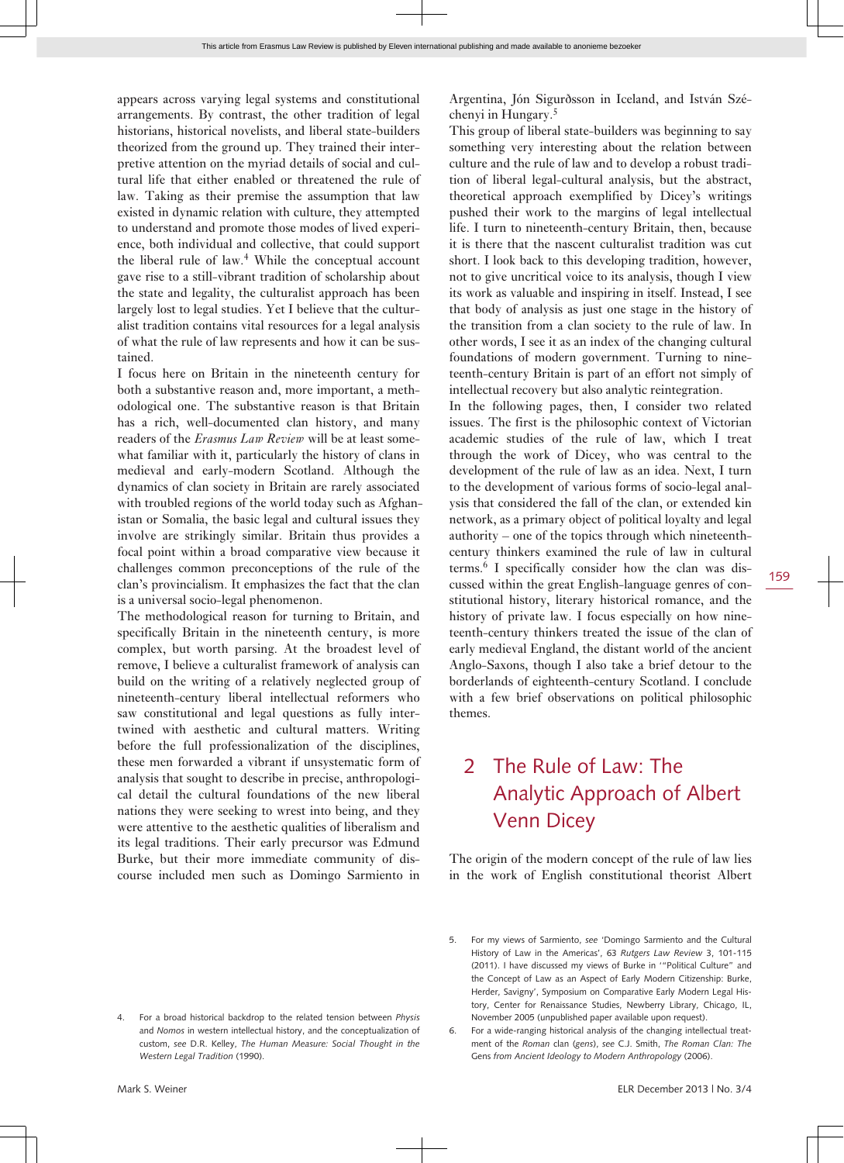appears across varying legal systems and constitutional arrangements. By contrast, the other tradition of legal historians, historical novelists, and liberal state-builders theorized from the ground up. They trained their interpretive attention on the myriad details of social and cultural life that either enabled or threatened the rule of law. Taking as their premise the assumption that law existed in dynamic relation with culture, they attempted to understand and promote those modes of lived experience, both individual and collective, that could support the liberal rule of law.<sup>4</sup> While the conceptual account gave rise to a still-vibrant tradition of scholarship about the state and legality, the culturalist approach has been largely lost to legal studies. Yet I believe that the culturalist tradition contains vital resources for a legal analysis of what the rule of law represents and how it can be sustained.

I focus here on Britain in the nineteenth century for both a substantive reason and, more important, a methodological one. The substantive reason is that Britain has a rich, well-documented clan history, and many readers of the *Erasmus Law Review* will be at least somewhat familiar with it, particularly the history of clans in medieval and early-modern Scotland. Although the dynamics of clan society in Britain are rarely associated with troubled regions of the world today such as Afghanistan or Somalia, the basic legal and cultural issues they involve are strikingly similar. Britain thus provides a focal point within a broad comparative view because it challenges common preconceptions of the rule of the clan's provincialism. It emphasizes the fact that the clan is a universal socio-legal phenomenon.

The methodological reason for turning to Britain, and specifically Britain in the nineteenth century, is more complex, but worth parsing. At the broadest level of remove, I believe a culturalist framework of analysis can build on the writing of a relatively neglected group of nineteenth-century liberal intellectual reformers who saw constitutional and legal questions as fully intertwined with aesthetic and cultural matters. Writing before the full professionalization of the disciplines, these men forwarded a vibrant if unsystematic form of analysis that sought to describe in precise, anthropological detail the cultural foundations of the new liberal nations they were seeking to wrest into being, and they were attentive to the aesthetic qualities of liberalism and its legal traditions. Their early precursor was Edmund Burke, but their more immediate community of discourse included men such as Domingo Sarmiento in

4. For a broad historical backdrop to the related tension between *Physis* and *Nomos* in western intellectual history, and the conceptualization of custom, *see* D.R. Kelley, *The Human Measure: Social Thought in the Western Legal Tradition* (1990).

Argentina, Jón Sigurðsson in Iceland, and István Széchenyi in Hungary.<sup>5</sup>

This group of liberal state-builders was beginning to say something very interesting about the relation between culture and the rule of law and to develop a robust tradition of liberal legal-cultural analysis, but the abstract, theoretical approach exemplified by Dicey's writings pushed their work to the margins of legal intellectual life. I turn to nineteenth-century Britain, then, because it is there that the nascent culturalist tradition was cut short. I look back to this developing tradition, however, not to give uncritical voice to its analysis, though I view its work as valuable and inspiring in itself. Instead, I see that body of analysis as just one stage in the history of the transition from a clan society to the rule of law. In other words, I see it as an index of the changing cultural foundations of modern government. Turning to nineteenth-century Britain is part of an effort not simply of intellectual recovery but also analytic reintegration.

In the following pages, then, I consider two related issues. The first is the philosophic context of Victorian academic studies of the rule of law, which I treat through the work of Dicey, who was central to the development of the rule of law as an idea. Next, I turn to the development of various forms of socio-legal analysis that considered the fall of the clan, or extended kin network, as a primary object of political loyalty and legal authority – one of the topics through which nineteenthcentury thinkers examined the rule of law in cultural terms.<sup>6</sup> I specifically consider how the clan was discussed within the great English-language genres of constitutional history, literary historical romance, and the history of private law. I focus especially on how nineteenth-century thinkers treated the issue of the clan of early medieval England, the distant world of the ancient Anglo-Saxons, though I also take a brief detour to the borderlands of eighteenth-century Scotland. I conclude with a few brief observations on political philosophic themes.

## 2 The Rule of Law: The Analytic Approach of Albert Venn Dicey

The origin of the modern concept of the rule of law lies in the work of English constitutional theorist Albert

<sup>5.</sup> For my views of Sarmiento, *see* 'Domingo Sarmiento and the Cultural History of Law in the Americas', 63 *Rutgers Law Review* 3, 101-115 (2011). I have discussed my views of Burke in '"Political Culture" and the Concept of Law as an Aspect of Early Modern Citizenship: Burke, Herder, Savigny', Symposium on Comparative Early Modern Legal History, Center for Renaissance Studies, Newberry Library, Chicago, IL, November 2005 (unpublished paper available upon request).

<sup>6.</sup> For a wide-ranging historical analysis of the changing intellectual treatment of the *Roman* clan (*gens*), *see* C.J. Smith, *The Roman Clan: The* Gens *from Ancient Ideology to Modern Anthropology* (2006).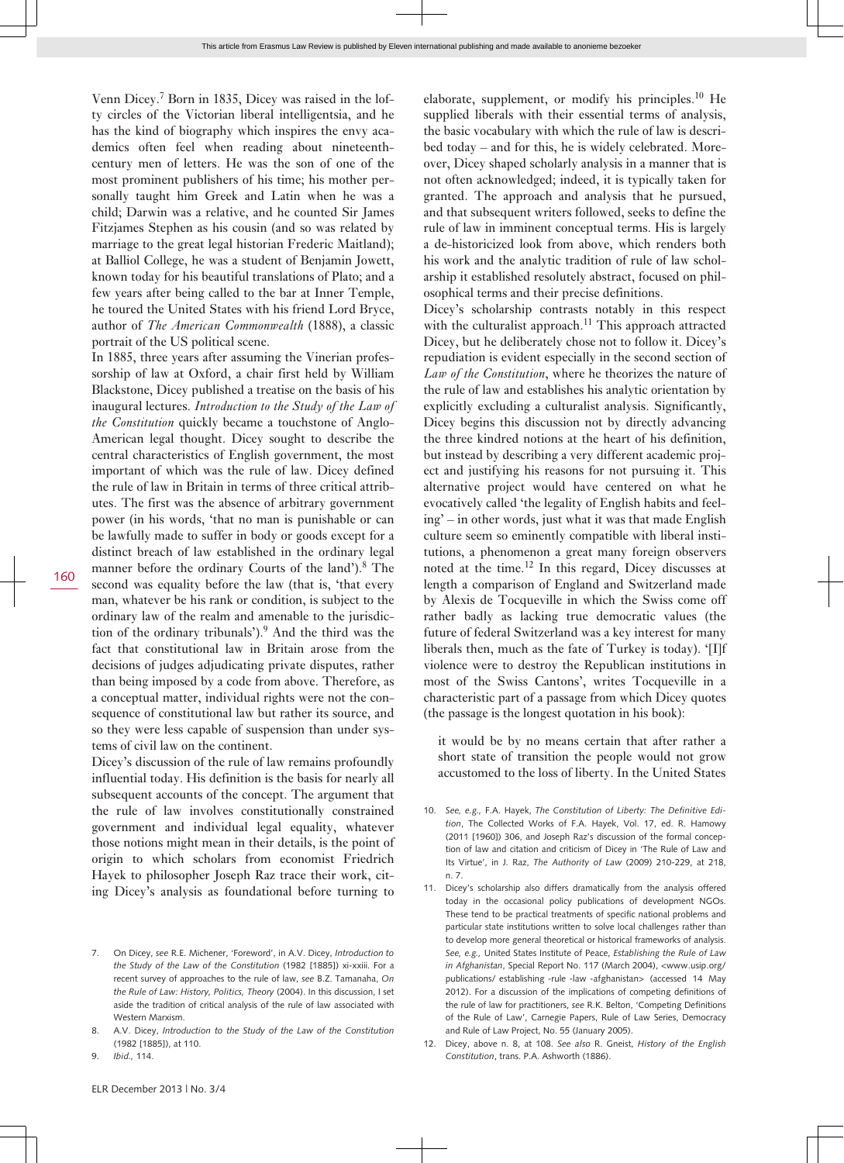Venn Dicey.<sup>7</sup> Born in 1835, Dicey was raised in the lofty circles of the Victorian liberal intelligentsia, and he has the kind of biography which inspires the envy academics often feel when reading about nineteenthcentury men of letters. He was the son of one of the most prominent publishers of his time; his mother personally taught him Greek and Latin when he was a child; Darwin was a relative, and he counted Sir James Fitzjames Stephen as his cousin (and so was related by marriage to the great legal historian Frederic Maitland); at Balliol College, he was a student of Benjamin Jowett, known today for his beautiful translations of Plato; and a few years after being called to the bar at Inner Temple, he toured the United States with his friend Lord Bryce, author of *The American Commonwealth* (1888), a classic portrait of the US political scene.

In 1885, three years after assuming the Vinerian professorship of law at Oxford, a chair first held by William Blackstone, Dicey published a treatise on the basis of his inaugural lectures. *Introduction to the Study of the Law of the Constitution* quickly became a touchstone of Anglo-American legal thought. Dicey sought to describe the central characteristics of English government, the most important of which was the rule of law. Dicey defined the rule of law in Britain in terms of three critical attributes. The first was the absence of arbitrary government power (in his words, 'that no man is punishable or can be lawfully made to suffer in body or goods except for a distinct breach of law established in the ordinary legal manner before the ordinary Courts of the land').<sup>8</sup> The second was equality before the law (that is, 'that every man, whatever be his rank or condition, is subject to the ordinary law of the realm and amenable to the jurisdiction of the ordinary tribunals').<sup>9</sup> And the third was the fact that constitutional law in Britain arose from the decisions of judges adjudicating private disputes, rather than being imposed by a code from above. Therefore, as a conceptual matter, individual rights were not the consequence of constitutional law but rather its source, and so they were less capable of suspension than under systems of civil law on the continent.

Dicey's discussion of the rule of law remains profoundly influential today. His definition is the basis for nearly all subsequent accounts of the concept. The argument that the rule of law involves constitutionally constrained government and individual legal equality, whatever those notions might mean in their details, is the point of origin to which scholars from economist Friedrich Hayek to philosopher Joseph Raz trace their work, citing Dicey's analysis as foundational before turning to

8. A.V. Dicey, *Introduction to the Study of the Law of the Constitution* (1982 [1885]), at 110.

elaborate, supplement, or modify his principles.<sup>10</sup> He supplied liberals with their essential terms of analysis, the basic vocabulary with which the rule of law is described today – and for this, he is widely celebrated. Moreover, Dicey shaped scholarly analysis in a manner that is not often acknowledged; indeed, it is typically taken for granted. The approach and analysis that he pursued, and that subsequent writers followed, seeks to define the rule of law in imminent conceptual terms. His is largely a de-historicized look from above, which renders both his work and the analytic tradition of rule of law scholarship it established resolutely abstract, focused on philosophical terms and their precise definitions.

Dicey's scholarship contrasts notably in this respect with the culturalist approach.<sup>11</sup> This approach attracted Dicey, but he deliberately chose not to follow it. Dicey's repudiation is evident especially in the second section of *Law of the Constitution*, where he theorizes the nature of the rule of law and establishes his analytic orientation by explicitly excluding a culturalist analysis. Significantly, Dicey begins this discussion not by directly advancing the three kindred notions at the heart of his definition, but instead by describing a very different academic project and justifying his reasons for not pursuing it. This alternative project would have centered on what he evocatively called 'the legality of English habits and feeling' – in other words, just what it was that made English culture seem so eminently compatible with liberal institutions, a phenomenon a great many foreign observers noted at the time.12 In this regard, Dicey discusses at length a comparison of England and Switzerland made by Alexis de Tocqueville in which the Swiss come off rather badly as lacking true democratic values (the future of federal Switzerland was a key interest for many liberals then, much as the fate of Turkey is today). '[I]f violence were to destroy the Republican institutions in most of the Swiss Cantons', writes Tocqueville in a characteristic part of a passage from which Dicey quotes (the passage is the longest quotation in his book):

it would be by no means certain that after rather a short state of transition the people would not grow accustomed to the loss of liberty. In the United States

<sup>7.</sup> On Dicey, *see* R.E. Michener, 'Foreword', in A.V. Dicey, *Introduction to the Study of the Law of the Constitution* (1982 [1885]) xi-xxiii. For a recent survey of approaches to the rule of law, *see* B.Z. Tamanaha, *On the Rule of Law: History, Politics, Theory* (2004). In this discussion, I set aside the tradition of critical analysis of the rule of law associated with Western Marxism.

<sup>9.</sup> *Ibid.,* 114.

<sup>10.</sup> *See, e.g.,* F.A. Hayek, *The Constitution of Liberty: The Definitive Edition*, The Collected Works of F.A. Hayek, Vol. 17, ed. R. Hamowy (2011 [1960]) 306, and Joseph Raz's discussion of the formal conception of law and citation and criticism of Dicey in 'The Rule of Law and Its Virtue', in J. Raz, *The Authority of Law* (2009) 210-229, at 218, n. 7.

<sup>11.</sup> Dicey's scholarship also differs dramatically from the analysis offered today in the occasional policy publications of development NGOs. These tend to be practical treatments of specific national problems and particular state institutions written to solve local challenges rather than to develop more general theoretical or historical frameworks of analysis. *See, e.g.,* United States Institute of Peace, *Establishing the Rule of Law in Afghanistan*, Special Report No. 117 (March 2004), <www.usip.org/ publications/ establishing -rule -law -afghanistan> (accessed 14 May 2012). For a discussion of the implications of competing definitions of the rule of law for practitioners, *see* R.K. Belton, 'Competing Definitions of the Rule of Law', Carnegie Papers, Rule of Law Series, Democracy and Rule of Law Project, No. 55 (January 2005).

<sup>12.</sup> Dicey, above n. 8, at 108. *See also* R. Gneist, *History of the English Constitution*, trans. P.A. Ashworth (1886).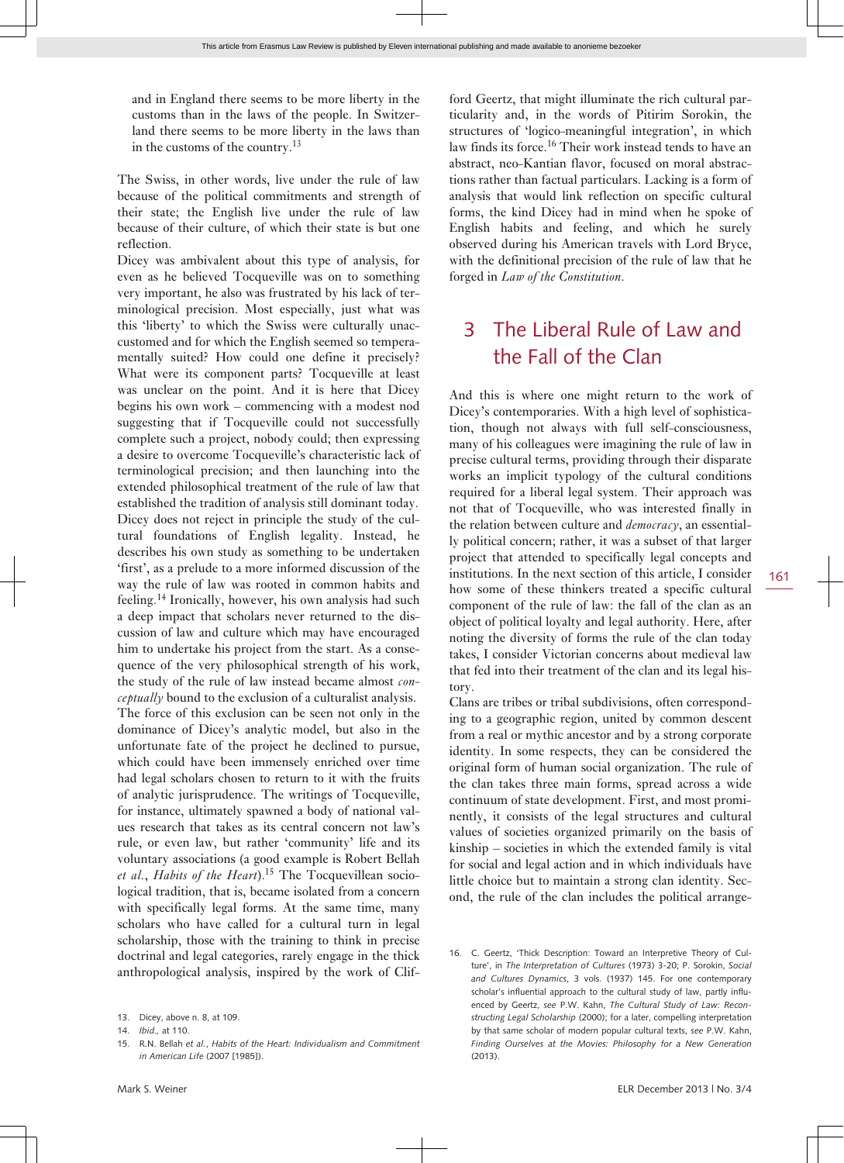and in England there seems to be more liberty in the customs than in the laws of the people. In Switzerland there seems to be more liberty in the laws than in the customs of the country.<sup>13</sup>

The Swiss, in other words, live under the rule of law because of the political commitments and strength of their state; the English live under the rule of law because of their culture, of which their state is but one reflection.

Dicey was ambivalent about this type of analysis, for even as he believed Tocqueville was on to something very important, he also was frustrated by his lack of terminological precision. Most especially, just what was this 'liberty' to which the Swiss were culturally unaccustomed and for which the English seemed so temperamentally suited? How could one define it precisely? What were its component parts? Tocqueville at least was unclear on the point. And it is here that Dicey begins his own work – commencing with a modest nod suggesting that if Tocqueville could not successfully complete such a project, nobody could; then expressing a desire to overcome Tocqueville's characteristic lack of terminological precision; and then launching into the extended philosophical treatment of the rule of law that established the tradition of analysis still dominant today. Dicey does not reject in principle the study of the cultural foundations of English legality. Instead, he describes his own study as something to be undertaken 'first', as a prelude to a more informed discussion of the way the rule of law was rooted in common habits and feeling.14 Ironically, however, his own analysis had such a deep impact that scholars never returned to the discussion of law and culture which may have encouraged him to undertake his project from the start. As a consequence of the very philosophical strength of his work, the study of the rule of law instead became almost *conceptually* bound to the exclusion of a culturalist analysis. The force of this exclusion can be seen not only in the dominance of Dicey's analytic model, but also in the unfortunate fate of the project he declined to pursue, which could have been immensely enriched over time had legal scholars chosen to return to it with the fruits of analytic jurisprudence. The writings of Tocqueville, for instance, ultimately spawned a body of national values research that takes as its central concern not law's rule, or even law, but rather 'community' life and its voluntary associations (a good example is Robert Bellah *et al.*, *Habits of the Heart*).15 The Tocquevillean sociological tradition, that is, became isolated from a concern with specifically legal forms. At the same time, many scholars who have called for a cultural turn in legal scholarship, those with the training to think in precise doctrinal and legal categories, rarely engage in the thick anthropological analysis, inspired by the work of Clifford Geertz, that might illuminate the rich cultural particularity and, in the words of Pitirim Sorokin, the structures of 'logico-meaningful integration', in which law finds its force.<sup>16</sup> Their work instead tends to have an abstract, neo-Kantian flavor, focused on moral abstractions rather than factual particulars. Lacking is a form of analysis that would link reflection on specific cultural forms, the kind Dicey had in mind when he spoke of English habits and feeling, and which he surely observed during his American travels with Lord Bryce, with the definitional precision of the rule of law that he forged in *Law of the Constitution*.

### 3 The Liberal Rule of Law and the Fall of the Clan

And this is where one might return to the work of Dicey's contemporaries. With a high level of sophistication, though not always with full self-consciousness, many of his colleagues were imagining the rule of law in precise cultural terms, providing through their disparate works an implicit typology of the cultural conditions required for a liberal legal system. Their approach was not that of Tocqueville, who was interested finally in the relation between culture and *democracy*, an essentially political concern; rather, it was a subset of that larger project that attended to specifically legal concepts and institutions. In the next section of this article, I consider how some of these thinkers treated a specific cultural component of the rule of law: the fall of the clan as an object of political loyalty and legal authority. Here, after noting the diversity of forms the rule of the clan today takes, I consider Victorian concerns about medieval law that fed into their treatment of the clan and its legal history.

Clans are tribes or tribal subdivisions, often corresponding to a geographic region, united by common descent from a real or mythic ancestor and by a strong corporate identity. In some respects, they can be considered the original form of human social organization. The rule of the clan takes three main forms, spread across a wide continuum of state development. First, and most prominently, it consists of the legal structures and cultural values of societies organized primarily on the basis of kinship – societies in which the extended family is vital for social and legal action and in which individuals have little choice but to maintain a strong clan identity. Second, the rule of the clan includes the political arrange-

<sup>13.</sup> Dicey, above n. 8, at 109.

<sup>14.</sup> *Ibid.,* at 110.

<sup>15.</sup> R.N. Bellah *et al.*, *Habits of the Heart: Individualism and Commitment in American Life* (2007 [1985]).

<sup>16.</sup> C. Geertz, 'Thick Description: Toward an Interpretive Theory of Culture', in *The Interpretation of Cultures* (1973) 3-20; P. Sorokin, *Social and Cultures Dynamics*, 3 vols. (1937) 145. For one contemporary scholar's influential approach to the cultural study of law, partly influenced by Geertz, *see* P.W. Kahn, *The Cultural Study of Law: Reconstructing Legal Scholarship* (2000); for a later, compelling interpretation by that same scholar of modern popular cultural texts, *see* P.W. Kahn, *Finding Ourselves at the Movies: Philosophy for a New Generation* (2013).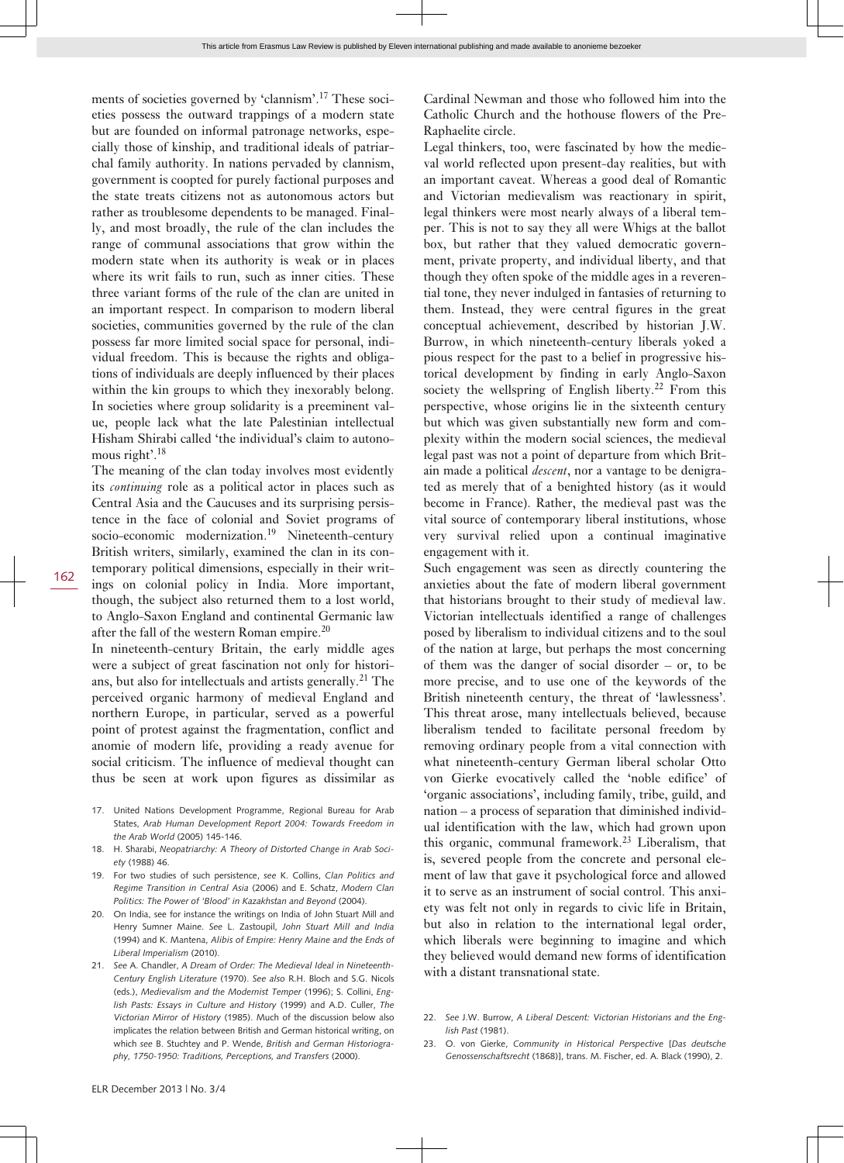ments of societies governed by 'clannism'.17 These societies possess the outward trappings of a modern state but are founded on informal patronage networks, especially those of kinship, and traditional ideals of patriarchal family authority. In nations pervaded by clannism, government is coopted for purely factional purposes and the state treats citizens not as autonomous actors but rather as troublesome dependents to be managed. Finally, and most broadly, the rule of the clan includes the range of communal associations that grow within the modern state when its authority is weak or in places where its writ fails to run, such as inner cities. These three variant forms of the rule of the clan are united in an important respect. In comparison to modern liberal societies, communities governed by the rule of the clan possess far more limited social space for personal, individual freedom. This is because the rights and obligations of individuals are deeply influenced by their places within the kin groups to which they inexorably belong. In societies where group solidarity is a preeminent value, people lack what the late Palestinian intellectual Hisham Shirabi called 'the individual's claim to autonomous right'.<sup>18</sup>

The meaning of the clan today involves most evidently its *continuing* role as a political actor in places such as Central Asia and the Caucuses and its surprising persistence in the face of colonial and Soviet programs of socio-economic modernization.<sup>19</sup> Nineteenth-century British writers, similarly, examined the clan in its contemporary political dimensions, especially in their writings on colonial policy in India. More important, though, the subject also returned them to a lost world, to Anglo-Saxon England and continental Germanic law after the fall of the western Roman empire.<sup>20</sup>

In nineteenth-century Britain, the early middle ages were a subject of great fascination not only for historians, but also for intellectuals and artists generally.<sup>21</sup> The perceived organic harmony of medieval England and northern Europe, in particular, served as a powerful point of protest against the fragmentation, conflict and anomie of modern life, providing a ready avenue for social criticism. The influence of medieval thought can thus be seen at work upon figures as dissimilar as

- 17. United Nations Development Programme, Regional Bureau for Arab States, *Arab Human Development Report 2004: Towards Freedom in the Arab World* (2005) 145-146.
- 18. H. Sharabi, *Neopatriarchy: A Theory of Distorted Change in Arab Society* (1988) 46.
- 19. For two studies of such persistence, *see* K. Collins, *Clan Politics and Regime Transition in Central Asia* (2006) and E. Schatz, *Modern Clan Politics: The Power of 'Blood' in Kazakhstan and Beyond* (2004).
- 20. On India, see for instance the writings on India of John Stuart Mill and Henry Sumner Maine. *See* L. Zastoupil, *John Stuart Mill and India* (1994) and K. Mantena, *Alibis of Empire: Henry Maine and the Ends of Liberal Imperialism* (2010).
- 21. *See* A. Chandler, *A Dream of Order: The Medieval Ideal in Nineteenth-Century English Literature* (1970). *See also* R.H. Bloch and S.G. Nicols (eds.), *Medievalism and the Modernist Temper* (1996); S. Collini, *English Pasts: Essays in Culture and History* (1999) and A.D. Culler, *The Victorian Mirror of History* (1985). Much of the discussion below also implicates the relation between British and German historical writing, on which *see* B. Stuchtey and P. Wende, *British and German Historiography, 1750-1950: Traditions, Perceptions, and Transfers* (2000).

Cardinal Newman and those who followed him into the Catholic Church and the hothouse flowers of the Pre-Raphaelite circle.

Legal thinkers, too, were fascinated by how the medieval world reflected upon present-day realities, but with an important caveat. Whereas a good deal of Romantic and Victorian medievalism was reactionary in spirit, legal thinkers were most nearly always of a liberal temper. This is not to say they all were Whigs at the ballot box, but rather that they valued democratic government, private property, and individual liberty, and that though they often spoke of the middle ages in a reverential tone, they never indulged in fantasies of returning to them. Instead, they were central figures in the great conceptual achievement, described by historian J.W. Burrow, in which nineteenth-century liberals yoked a pious respect for the past to a belief in progressive historical development by finding in early Anglo-Saxon society the wellspring of English liberty.<sup>22</sup> From this perspective, whose origins lie in the sixteenth century but which was given substantially new form and complexity within the modern social sciences, the medieval legal past was not a point of departure from which Britain made a political *descent*, nor a vantage to be denigrated as merely that of a benighted history (as it would become in France). Rather, the medieval past was the vital source of contemporary liberal institutions, whose very survival relied upon a continual imaginative engagement with it.

Such engagement was seen as directly countering the anxieties about the fate of modern liberal government that historians brought to their study of medieval law. Victorian intellectuals identified a range of challenges posed by liberalism to individual citizens and to the soul of the nation at large, but perhaps the most concerning of them was the danger of social disorder – or, to be more precise, and to use one of the keywords of the British nineteenth century, the threat of 'lawlessness'. This threat arose, many intellectuals believed, because liberalism tended to facilitate personal freedom by removing ordinary people from a vital connection with what nineteenth-century German liberal scholar Otto von Gierke evocatively called the 'noble edifice' of 'organic associations', including family, tribe, guild, and nation – a process of separation that diminished individual identification with the law, which had grown upon this organic, communal framework.23 Liberalism, that is, severed people from the concrete and personal element of law that gave it psychological force and allowed it to serve as an instrument of social control. This anxiety was felt not only in regards to civic life in Britain, but also in relation to the international legal order, which liberals were beginning to imagine and which they believed would demand new forms of identification with a distant transnational state.

<sup>22.</sup> *See* J.W. Burrow, *A Liberal Descent: Victorian Historians and the English Past* (1981).

<sup>23.</sup> O. von Gierke, *Community in Historical Perspective* [*Das deutsche Genossenschaftsrecht* (1868)], trans. M. Fischer, ed. A. Black (1990), 2.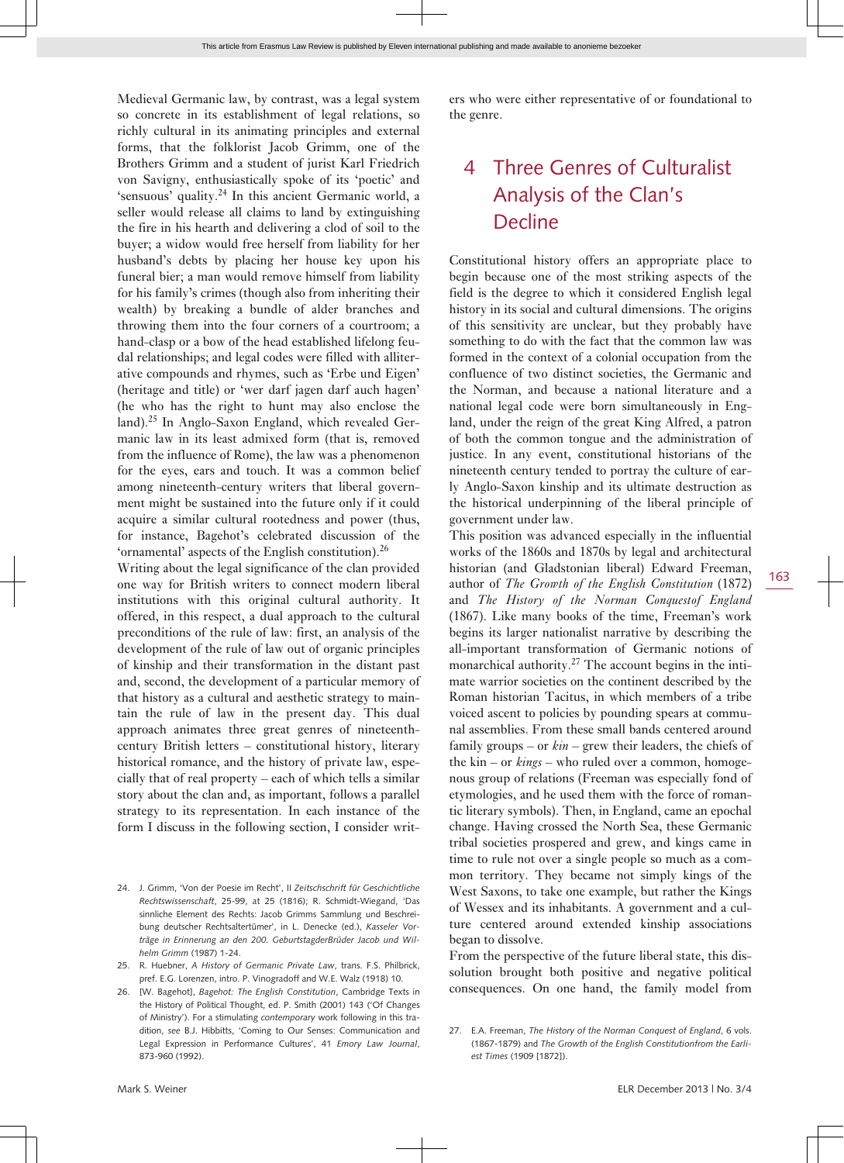Medieval Germanic law, by contrast, was a legal system so concrete in its establishment of legal relations, so richly cultural in its animating principles and external forms, that the folklorist Jacob Grimm, one of the Brothers Grimm and a student of jurist Karl Friedrich von Savigny, enthusiastically spoke of its 'poetic' and 'sensuous' quality.<sup>24</sup> In this ancient Germanic world, a seller would release all claims to land by extinguishing the fire in his hearth and delivering a clod of soil to the buyer; a widow would free herself from liability for her husband's debts by placing her house key upon his funeral bier; a man would remove himself from liability for his family's crimes (though also from inheriting their wealth) by breaking a bundle of alder branches and throwing them into the four corners of a courtroom; a hand-clasp or a bow of the head established lifelong feudal relationships; and legal codes were filled with alliterative compounds and rhymes, such as 'Erbe und Eigen' (heritage and title) or 'wer darf jagen darf auch hagen' (he who has the right to hunt may also enclose the land).25 In Anglo-Saxon England, which revealed Germanic law in its least admixed form (that is, removed from the influence of Rome), the law was a phenomenon for the eyes, ears and touch. It was a common belief among nineteenth-century writers that liberal government might be sustained into the future only if it could acquire a similar cultural rootedness and power (thus, for instance, Bagehot's celebrated discussion of the 'ornamental' aspects of the English constitution).<sup>26</sup>

Writing about the legal significance of the clan provided one way for British writers to connect modern liberal institutions with this original cultural authority. It offered, in this respect, a dual approach to the cultural preconditions of the rule of law: first, an analysis of the development of the rule of law out of organic principles of kinship and their transformation in the distant past and, second, the development of a particular memory of that history as a cultural and aesthetic strategy to maintain the rule of law in the present day. This dual approach animates three great genres of nineteenthcentury British letters – constitutional history, literary historical romance, and the history of private law, especially that of real property – each of which tells a similar story about the clan and, as important, follows a parallel strategy to its representation. In each instance of the form I discuss in the following section, I consider writ-

26. [W. Bagehot], *Bagehot: The English Constitution*, Cambridge Texts in the History of Political Thought, ed. P. Smith (2001) 143 ('Of Changes of Ministry'). For a stimulating *contemporary* work following in this tradition, *see* B.J. Hibbitts, 'Coming to Our Senses: Communication and Legal Expression in Performance Cultures', 41 *Emory Law Journal*, 873-960 (1992).

ers who were either representative of or foundational to the genre.

#### 4 Three Genres of Culturalist Analysis of the Clan's Decline

Constitutional history offers an appropriate place to begin because one of the most striking aspects of the field is the degree to which it considered English legal history in its social and cultural dimensions. The origins of this sensitivity are unclear, but they probably have something to do with the fact that the common law was formed in the context of a colonial occupation from the confluence of two distinct societies, the Germanic and the Norman, and because a national literature and a national legal code were born simultaneously in England, under the reign of the great King Alfred, a patron of both the common tongue and the administration of justice. In any event, constitutional historians of the nineteenth century tended to portray the culture of early Anglo-Saxon kinship and its ultimate destruction as the historical underpinning of the liberal principle of government under law.

This position was advanced especially in the influential works of the 1860s and 1870s by legal and architectural historian (and Gladstonian liberal) Edward Freeman, author of *The Growth of the English Constitution* (1872) and *The History of the Norman Conquestof England* (1867). Like many books of the time, Freeman's work begins its larger nationalist narrative by describing the all-important transformation of Germanic notions of monarchical authority.27 The account begins in the intimate warrior societies on the continent described by the Roman historian Tacitus, in which members of a tribe voiced ascent to policies by pounding spears at communal assemblies. From these small bands centered around family groups – or *kin* – grew their leaders, the chiefs of the kin – or *kings* – who ruled over a common, homogenous group of relations (Freeman was especially fond of etymologies, and he used them with the force of romantic literary symbols). Then, in England, came an epochal change. Having crossed the North Sea, these Germanic tribal societies prospered and grew, and kings came in time to rule not over a single people so much as a common territory. They became not simply kings of the West Saxons, to take one example, but rather the Kings of Wessex and its inhabitants. A government and a culture centered around extended kinship associations began to dissolve.

From the perspective of the future liberal state, this dissolution brought both positive and negative political consequences. On one hand, the family model from

<sup>24.</sup> J. Grimm, 'Von der Poesie im Recht', II *Zeitschschrift für Geschichtliche Rechtswissenschaft*, 25-99, at 25 (1816); R. Schmidt-Wiegand, 'Das sinnliche Element des Rechts: Jacob Grimms Sammlung und Beschreibung deutscher Rechtsaltertümer', in L. Denecke (ed.), *Kasseler Vorträge in Erinnerung an den 200. GeburtstagderBrüder Jacob und Wilhelm Grimm* (1987) 1-24.

<sup>25.</sup> R. Huebner, *A History of Germanic Private Law*, trans. F.S. Philbrick, pref. E.G. Lorenzen, intro. P. Vinogradoff and W.E. Walz (1918) 10.

<sup>27.</sup> E.A. Freeman, *The History of the Norman Conquest of England*, 6 vols. (1867-1879) and *The Growth of the English Constitutionfrom the Earliest Times* (1909 [1872]).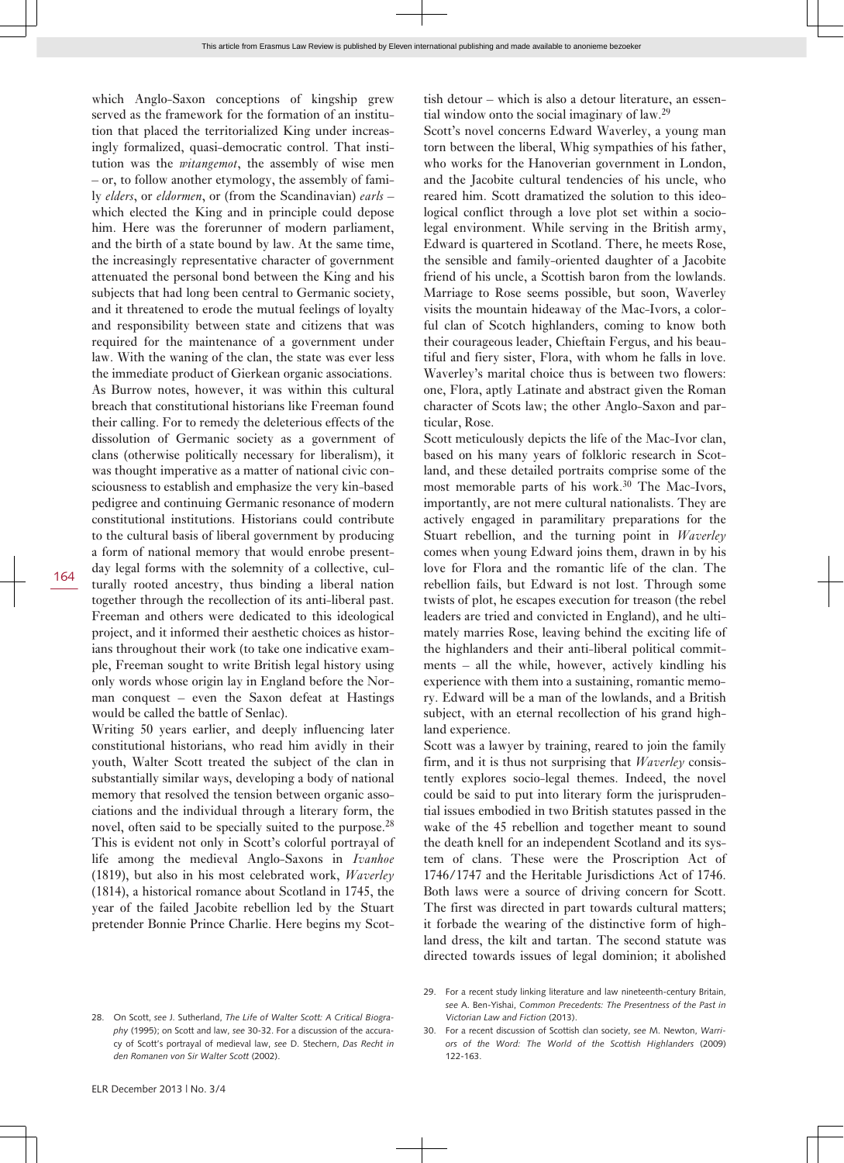which Anglo-Saxon conceptions of kingship grew served as the framework for the formation of an institution that placed the territorialized King under increasingly formalized, quasi-democratic control. That institution was the *witangemot*, the assembly of wise men – or, to follow another etymology, the assembly of family *elders*, or *eldormen*, or (from the Scandinavian) *earls* – which elected the King and in principle could depose him. Here was the forerunner of modern parliament, and the birth of a state bound by law. At the same time, the increasingly representative character of government attenuated the personal bond between the King and his subjects that had long been central to Germanic society, and it threatened to erode the mutual feelings of loyalty and responsibility between state and citizens that was required for the maintenance of a government under law. With the waning of the clan, the state was ever less the immediate product of Gierkean organic associations. As Burrow notes, however, it was within this cultural breach that constitutional historians like Freeman found their calling. For to remedy the deleterious effects of the dissolution of Germanic society as a government of clans (otherwise politically necessary for liberalism), it was thought imperative as a matter of national civic consciousness to establish and emphasize the very kin-based pedigree and continuing Germanic resonance of modern constitutional institutions. Historians could contribute to the cultural basis of liberal government by producing a form of national memory that would enrobe presentday legal forms with the solemnity of a collective, culturally rooted ancestry, thus binding a liberal nation together through the recollection of its anti-liberal past. Freeman and others were dedicated to this ideological project, and it informed their aesthetic choices as historians throughout their work (to take one indicative example, Freeman sought to write British legal history using only words whose origin lay in England before the Norman conquest – even the Saxon defeat at Hastings would be called the battle of Senlac).

Writing 50 years earlier, and deeply influencing later constitutional historians, who read him avidly in their youth, Walter Scott treated the subject of the clan in substantially similar ways, developing a body of national memory that resolved the tension between organic associations and the individual through a literary form, the novel, often said to be specially suited to the purpose.<sup>28</sup> This is evident not only in Scott's colorful portrayal of life among the medieval Anglo-Saxons in *Ivanhoe* (1819), but also in his most celebrated work, *Waverley* (1814), a historical romance about Scotland in 1745, the year of the failed Jacobite rebellion led by the Stuart pretender Bonnie Prince Charlie. Here begins my Scot-

tish detour – which is also a detour literature, an essential window onto the social imaginary of law.<sup>29</sup>

Scott's novel concerns Edward Waverley, a young man torn between the liberal, Whig sympathies of his father, who works for the Hanoverian government in London, and the Jacobite cultural tendencies of his uncle, who reared him. Scott dramatized the solution to this ideological conflict through a love plot set within a sociolegal environment. While serving in the British army, Edward is quartered in Scotland. There, he meets Rose, the sensible and family-oriented daughter of a Jacobite friend of his uncle, a Scottish baron from the lowlands. Marriage to Rose seems possible, but soon, Waverley visits the mountain hideaway of the Mac-Ivors, a colorful clan of Scotch highlanders, coming to know both their courageous leader, Chieftain Fergus, and his beautiful and fiery sister, Flora, with whom he falls in love. Waverley's marital choice thus is between two flowers: one, Flora, aptly Latinate and abstract given the Roman character of Scots law; the other Anglo-Saxon and particular, Rose.

Scott meticulously depicts the life of the Mac-Ivor clan, based on his many years of folkloric research in Scotland, and these detailed portraits comprise some of the most memorable parts of his work.30 The Mac-Ivors, importantly, are not mere cultural nationalists. They are actively engaged in paramilitary preparations for the Stuart rebellion, and the turning point in *Waverley* comes when young Edward joins them, drawn in by his love for Flora and the romantic life of the clan. The rebellion fails, but Edward is not lost. Through some twists of plot, he escapes execution for treason (the rebel leaders are tried and convicted in England), and he ultimately marries Rose, leaving behind the exciting life of the highlanders and their anti-liberal political commitments – all the while, however, actively kindling his experience with them into a sustaining, romantic memory. Edward will be a man of the lowlands, and a British subject, with an eternal recollection of his grand highland experience.

Scott was a lawyer by training, reared to join the family firm, and it is thus not surprising that *Waverley* consistently explores socio-legal themes. Indeed, the novel could be said to put into literary form the jurisprudential issues embodied in two British statutes passed in the wake of the 45 rebellion and together meant to sound the death knell for an independent Scotland and its system of clans. These were the Proscription Act of 1746/1747 and the Heritable Jurisdictions Act of 1746. Both laws were a source of driving concern for Scott. The first was directed in part towards cultural matters; it forbade the wearing of the distinctive form of highland dress, the kilt and tartan. The second statute was directed towards issues of legal dominion; it abolished

<sup>28.</sup> On Scott, *see* J. Sutherland, *The Life of Walter Scott: A Critical Biography* (1995); on Scott and law, *see* 30-32. For a discussion of the accuracy of Scott's portrayal of medieval law, *see* D. Stechern, *Das Recht in den Romanen von Sir Walter Scott* (2002).

<sup>29.</sup> For a recent study linking literature and law nineteenth-century Britain, *see* A. Ben-Yishai, *Common Precedents: The Presentness of the Past in Victorian Law and Fiction* (2013).

<sup>30.</sup> For a recent discussion of Scottish clan society, *see* M. Newton, *Warriors of the Word: The World of the Scottish Highlanders* (2009) 122-163.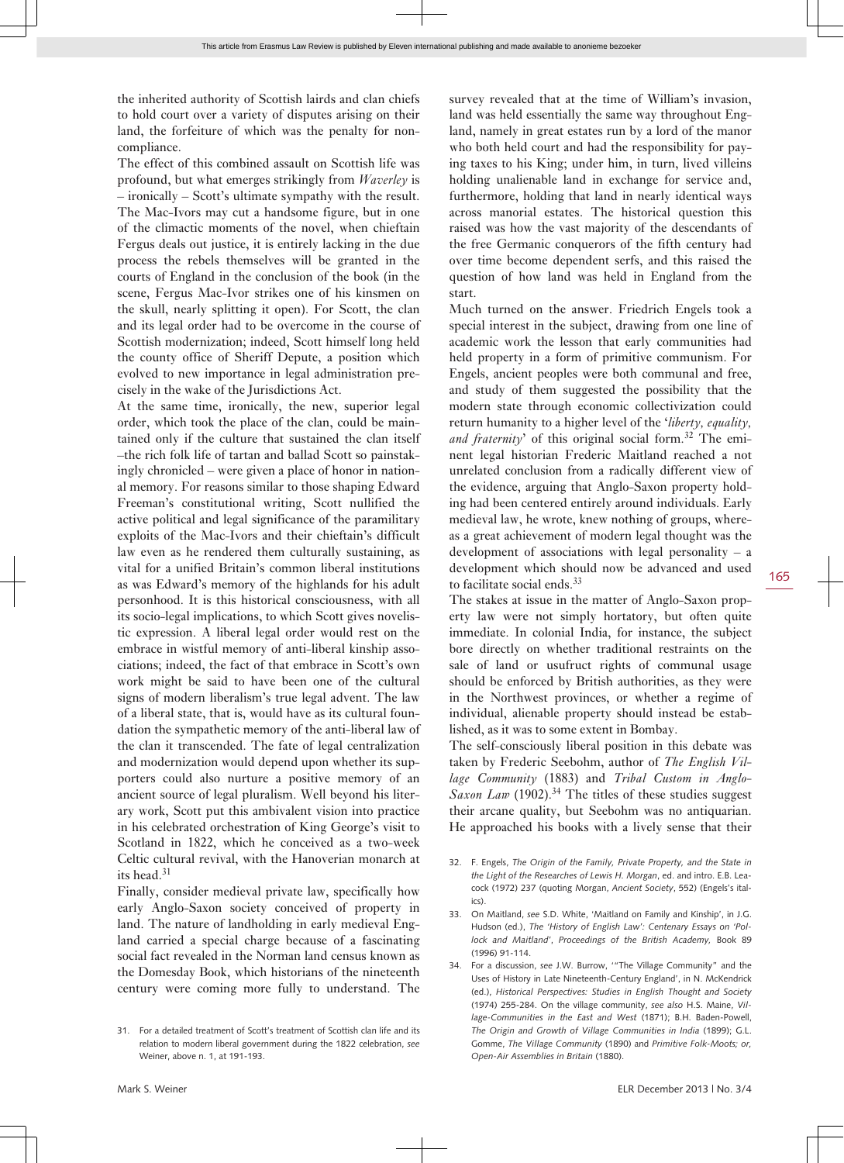the inherited authority of Scottish lairds and clan chiefs to hold court over a variety of disputes arising on their land, the forfeiture of which was the penalty for noncompliance.

The effect of this combined assault on Scottish life was profound, but what emerges strikingly from *Waverley* is – ironically – Scott's ultimate sympathy with the result. The Mac-Ivors may cut a handsome figure, but in one of the climactic moments of the novel, when chieftain Fergus deals out justice, it is entirely lacking in the due process the rebels themselves will be granted in the courts of England in the conclusion of the book (in the scene, Fergus Mac-Ivor strikes one of his kinsmen on the skull, nearly splitting it open). For Scott, the clan and its legal order had to be overcome in the course of Scottish modernization; indeed, Scott himself long held the county office of Sheriff Depute, a position which evolved to new importance in legal administration precisely in the wake of the Jurisdictions Act.

At the same time, ironically, the new, superior legal order, which took the place of the clan, could be maintained only if the culture that sustained the clan itself –the rich folk life of tartan and ballad Scott so painstakingly chronicled – were given a place of honor in national memory. For reasons similar to those shaping Edward Freeman's constitutional writing, Scott nullified the active political and legal significance of the paramilitary exploits of the Mac-Ivors and their chieftain's difficult law even as he rendered them culturally sustaining, as vital for a unified Britain's common liberal institutions as was Edward's memory of the highlands for his adult personhood. It is this historical consciousness, with all its socio-legal implications, to which Scott gives novelistic expression. A liberal legal order would rest on the embrace in wistful memory of anti-liberal kinship associations; indeed, the fact of that embrace in Scott's own work might be said to have been one of the cultural signs of modern liberalism's true legal advent. The law of a liberal state, that is, would have as its cultural foundation the sympathetic memory of the anti-liberal law of the clan it transcended. The fate of legal centralization and modernization would depend upon whether its supporters could also nurture a positive memory of an ancient source of legal pluralism. Well beyond his literary work, Scott put this ambivalent vision into practice in his celebrated orchestration of King George's visit to Scotland in 1822, which he conceived as a two-week Celtic cultural revival, with the Hanoverian monarch at its head.<sup>31</sup>

Finally, consider medieval private law, specifically how early Anglo-Saxon society conceived of property in land. The nature of landholding in early medieval England carried a special charge because of a fascinating social fact revealed in the Norman land census known as the Domesday Book, which historians of the nineteenth century were coming more fully to understand. The

survey revealed that at the time of William's invasion, land was held essentially the same way throughout England, namely in great estates run by a lord of the manor who both held court and had the responsibility for paying taxes to his King; under him, in turn, lived villeins holding unalienable land in exchange for service and, furthermore, holding that land in nearly identical ways across manorial estates. The historical question this raised was how the vast majority of the descendants of the free Germanic conquerors of the fifth century had over time become dependent serfs, and this raised the question of how land was held in England from the start.

Much turned on the answer. Friedrich Engels took a special interest in the subject, drawing from one line of academic work the lesson that early communities had held property in a form of primitive communism. For Engels, ancient peoples were both communal and free, and study of them suggested the possibility that the modern state through economic collectivization could return humanity to a higher level of the '*liberty, equality,* and fraternity' of this original social form.<sup>32</sup> The eminent legal historian Frederic Maitland reached a not unrelated conclusion from a radically different view of the evidence, arguing that Anglo-Saxon property holding had been centered entirely around individuals. Early medieval law, he wrote, knew nothing of groups, whereas a great achievement of modern legal thought was the development of associations with legal personality  $- a$ development which should now be advanced and used to facilitate social ends.<sup>33</sup>

The stakes at issue in the matter of Anglo-Saxon property law were not simply hortatory, but often quite immediate. In colonial India, for instance, the subject bore directly on whether traditional restraints on the sale of land or usufruct rights of communal usage should be enforced by British authorities, as they were in the Northwest provinces, or whether a regime of individual, alienable property should instead be established, as it was to some extent in Bombay.

The self-consciously liberal position in this debate was taken by Frederic Seebohm, author of *The English Village Community* (1883) and *Tribal Custom in Anglo-Saxon Law* (1902).<sup>34</sup> The titles of these studies suggest their arcane quality, but Seebohm was no antiquarian. He approached his books with a lively sense that their

- 32. F. Engels, *The Origin of the Family, Private Property, and the State in the Light of the Researches of Lewis H. Morgan*, ed. and intro. E.B. Leacock (1972) 237 (quoting Morgan, *Ancient Society*, 552) (Engels's italics).
- 33. On Maitland, *see* S.D. White, 'Maitland on Family and Kinship', in J.G. Hudson (ed.), *The 'History of English Law': Centenary Essays on 'Pollock and Maitland'*, *Proceedings of the British Academy,* Book 89 (1996) 91-114.
- 34. For a discussion, *see* J.W. Burrow, '"The Village Community" and the Uses of History in Late Nineteenth-Century England', in N. McKendrick (ed.), *Historical Perspectives: Studies in English Thought and Society* (1974) 255-284. On the village community, *see also* H.S. Maine, *Village-Communities in the East and West* (1871); B.H. Baden-Powell, *The Origin and Growth of Village Communities in India* (1899); G.L. Gomme, *The Village Community* (1890) and *Primitive Folk-Moots; or, Open-Air Assemblies in Britain* (1880).

<sup>31.</sup> For a detailed treatment of Scott's treatment of Scottish clan life and its relation to modern liberal government during the 1822 celebration, *see* Weiner, above n. 1, at 191-193.